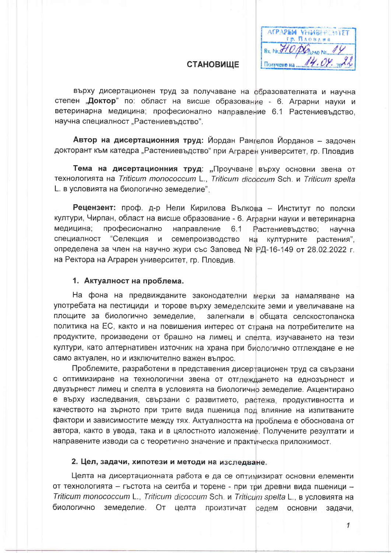AFPAPEM VHWBEPCHIET Гр. Пловдия BX No. 340 DGreno No. 14 Получено на ...

### **СТАНОВИЩЕ**

върху дисертационен труд за получаване на образователната и научна степен "Доктор" по: област на висше образование - 6. Аграрни науки и ветеринарна медицина; професионално направление 6.1 Растениевъдство, научна специалност "Растениевъдство".

Автор на дисертационния труд: Йордан Рангелов Йорданов - задочен докторант към катедра "Растениевъдство" при Аграрен университет, гр. Пловдив

Тема на дисертационния труд: "Проучване върху основни звена от технологията на Triticum monococcum L., Triticum dicoccum Sch. и Triticum spelta L. в условията на биологично земеделие".

Рецензент: проф. д-р Нели Кирилова Вълкова - Институт по полски култури, Чирпан, област на висше образование - 6. Аграрни науки и ветеринарна медицина: професионално направление 6.1 Растениевъдство: научна специалност "Селекция и семепроизводство културните растения", на определена за член на научно жури със Заповед № РД-16-149 от 28.02.2022 г. на Ректора на Аграрен университет, гр. Пловдив.

#### 1. Актуалност на проблема.

На фона на предвижданите законодателни мерки за намаляване на употребата на пестициди и торове върху земеделските земи и увеличаване на площите за биологично земеделие, залегнали в общата селскостопанска политика на ЕС, както и на повишения интерес от страна на потребителите на продуктите, произведени от брашно на лимец и спелта, изучаването на тези култури, като алтернативен източник на храна при биологично отглеждане е не само актуален, но и изключително важен въпрос.

Проблемите, разработени в представения дисертационен труд са свързани с оптимизиране на технологични звена от отглеждането на еднозърнест и двузърнест лимец и спелта в условията на биологично земеделие. Акцентирано е върху изследвания, свързани с развитието, растежа, продуктивността и качеството на зърното при трите вида пшеница под влияние на изпитваните фактори и зависимостите между тях. Актуалността на проблема е обоснована от автора, както в увода, така и в цялостното изложение. Получените резултати и направените изводи са с теоретично значение и практическа приложимост.

#### 2. Цел, задачи, хипотези и методи на изследване.

Целта на дисертационната работа е да се оптимизират основни елементи от технологията - гъстота на сеитба и торене - при три древни вида пшеници -Triticum monococcum L., Triticum dicoccum Sch. и Triticum spelta L., в условията на биологично земеделие. От целта произтичат седем основни задачи,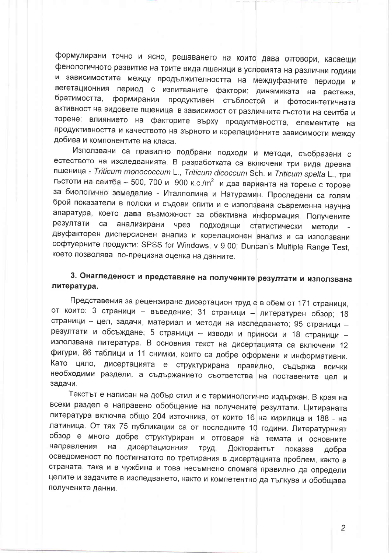формулирани точно и ясно, решаването на които дава отговори, касаещи фенологичното развитие на трите вида пшеници в условията на различни години и зависимостите между продължителността на междуфазните периоди и вегетационния период с изпитваните фактори; динамиката на растежа, братимостта, формирания продуктивен стъблостой и фотосинтетичната активност на видовете пшеница в зависимост от различните гъстоти на сеитба и торене; влиянието на факторите върху продуктивността, елементите на продуктивността и качеството на зърното и корелацифнните зависимости между добива и компонентите на класа.

Използвани са правилно подбрани подходи и методи, съобразени с естеството на изследванията. В разработката са включени три вида древна пшеница - Triticum monococcum L., Triticum dicoccum Sch. и Triticum spelta L., три гъстоти на сеитба - 500, 700 и 900 к.с./m<sup>2</sup> и два варианта на торене с торове за биологично земеделие - Италполина и Натурамин. Проследени са голям брой показатели в полски и съдови опити и е използвана съвременна научна апаратура, което дава възможност за обективна информация. Получените резултати анализирани чрез ca подходящи статистически методи двуфакторен дисперсионен анализ и корелационен анализ и са използвани софтуерните продукти: SPSS for Windows, v 9.00; Duncan's Multiple Range Test, което позволява по-прецизна оценка на данните.

### 3. Онагледеност и представяне на получените резултати и използвана литература.

Представения за рецензиране дисертацион труд е в обем от 171 страници, от които: 3 страници - въведение; 31 страници - литературен обзор; 18 страници - цел, задачи, материал и методи на изследването; 95 страници резултати и обсъждане; 5 страници - изводи и приноси и 18 страници използвана литература. В основния текст на дисертацията са включени 12 фигури, 86 таблици и 11 снимки, които са добре оформени и информативни. Като цяло, дисертацията е структурирана правилно, съдържа **ВСИЧКИ** необходими раздели, а съдържанието съответства на поставените цел и задачи.

Текстът е написан на добър стил и е терминологично издържан. В края на всеки раздел е направено обобщение на получените резултати. Цитираната литература включва общо 204 източника, от които 16 на кирилица и 188 - на латиница. От тях 75 публикации са от последните 10 години. Литературният обзор е много добре структуриран и отговаря на темата и основните направления дисертационния на труд. Докторантът показва добра осведоменост по постигнатото по третирания в дисертацията проблем, както в страната, така и в чужбина и това несъмнено спомага правилно да определи целите и задачите в изследването, както и компетентно да тълкува и обобщава получените данни.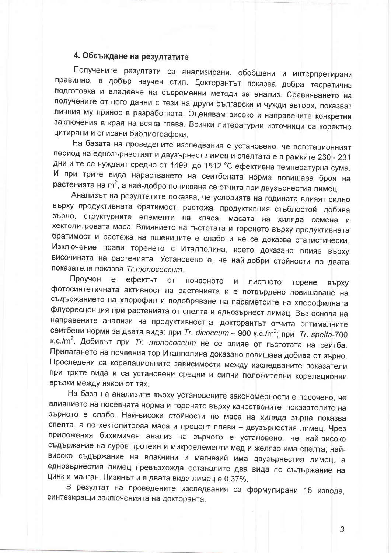## 4. Обсъждане на резултатите

Получените резултати са анализирани, обобщени и интерпретирани правилно, в добър научен стил. Докторантът показва добра теоретична подготовка и владеене на съвременни методи за анализ. Сравняването на получените от него данни с тези на други български и чужди автори, показват личния му принос в разработката. Оценявам високо и направените конкретни заключения в края на всяка глава. Всички литературни източници са коректно цитирани и описани библиографски.

На базата на проведените изследвания е установено, че вегетационният период на еднозърнестият и двузърнест лимец и спелтата е в рамките 230 - 231 дни и те се нуждаят средно от 1499 до 1512 °С ефективна температурна сума. И при трите вида нарастването на сеитбената норма повишава броя на растенията на m<sup>2</sup>, а най-добро поникване се отчита при двузърнестия лимец.

Анализът на резултатите показва, че условията на годината влияят силно върху продуктивната братимост, растежа, продуктивния стъблостой, добива зърно, структурните елементи на класа, масата на хиляда семена и хектолитровата маса. Влиянието на гъстотата и торенето върху продуктивната братимост и растежа на пшениците е слабо и не се доказва статистически. Изключение прави торенето с Италполина, което доказано влияе върху височината на растенията. Установено е, че най-добри стойности по двата показателя показва Tr.monococcum.

Проучен  $\mathsf{e}$ ефектът **OT** почвеното  $\overline{M}$ ЛИСТНОТО торене **ВЪРХУ** фотосинтетичната активност на растенията и е потвърдено повишаване на съдържанието на хлорофил и подобряване на параметрите на хлорофилната флуоресценция при растенията от спелта и еднозърнест лимец. Въз основа на направените анализи на продуктивността, докторантът отчита оптималните сеитбени норми за двата вида: при Tr. dicoccum - 900 к.c./m<sup>2</sup>; при Tr. spelta-700 к.с./m<sup>2</sup>. Добивът при Tr. monococcum не се влияе от гъстотата на сеитба. Прилагането на почвения тор Италполина доказано повишава добива от зърно. Проследени са корелационните зависимости между изследваните показатели при трите вида и са установени средни и силни положителни корелационни връзки между някои от тях.

На база на анализите върху установените закономерности е посочено, че влиянието на посевната норма и торенето върху качествените показателите на зърното е слабо. Най-високи стойности по маса на хиляда зърна показва спелта, а по хектолитрова маса и процент плеви - двузърнестия лимец. Чрез приложения бихимичен анализ на зърното е установено, че най-високо съдържание на суров протеин и микроелементи мед и желязо има спелта; найвисоко съдържание на влакнини и магнезий има двузърнестия лимец, а еднозърнестия лимец превъзхожда останалите два вида по съдържание на цинк и манган. Лизинът и в двата вида лимец е 0.37%.

В резултат на проведените изследвания са формулирани 15 извода, синтезиращи заключенията на докторанта.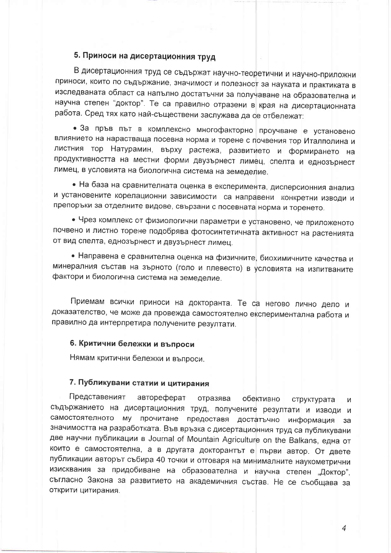# 5. Приноси на дисертационния труд

В дисертационния труд се съдържат научно-теоретични и научно-приложни приноси, които по съдържание, значимост и полезност за науката и практиката в изследваната област са напълно достатъчни за получаване на образователна и научна степен "доктор". Те са правилно отразени в края на дисертационната работа. Сред тях като най-съществени заслужава да се отбележат:

• За пръв път в комплексно многофакторно проучване е установено влиянието на нарастваща посевна норма и торене с почвения тор Италполина и листния тор Натурамин, върху растежа, развитието и формирането на продуктивността на местни форми двузърнест лимец, спелта и еднозърнест лимец, в условията на биологична система на земеделие.

• На база на сравнителната оценка в експеримента, дисперсионния анализ и установените корелационни зависимости са направени конкретни изводи и препоръки за отделните видове, свързани с посевната норма и торенето.

• Чрез комплекс от физиологични параметри е установено, че приложеното почвено и листно торене подобрява фотосинтетичната активност на растенията от вид спелта, еднозърнест и двузърнест лимец.

• Направена е сравнителна оценка на физичните, биохимичните качества и минералния състав на зърното (голо и плевесто) в условията на изпитваните фактори и биологична система на земеделие.

Приемам всички приноси на докторанта. Те са негово лично дело и доказателство, че може да провежда самостоятелно експериментална работа и правилно да интерпретира получените резултати.

### 6. Критични бележки и въпроси

Нямам критични бележки и въпроси.

### 7. Публикувани статии и цитирания

Представеният автореферат отразява обективно структурата И съдържанието на дисертационния труд, получените резултати и изводи и самостоятелното му прочитане предоставя достатъчно информация  $3a$ значимостта на разработката. Във връзка с дисертационния труд са публикувани две научни публикации в Journal of Mountain Agriculture on the Balkans, една от които е самостоятелна, а в другата докторантът е първи автор. От двете публикации авторът събира 40 точки и отговаря на минималните наукометрични изисквания за придобиване на образователна и научна степен "Доктор", съгласно Закона за развитието на академичния състав. Не се съобщава за открити цитирания.